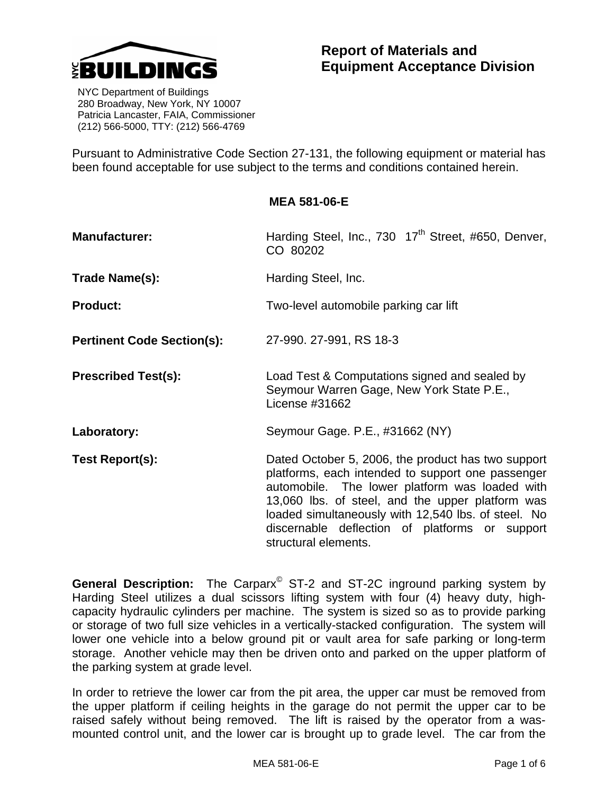

 NYC Department of Buildings 280 Broadway, New York, NY 10007 Patricia Lancaster, FAIA, Commissioner (212) 566-5000, TTY: (212) 566-4769

Pursuant to Administrative Code Section 27-131, the following equipment or material has been found acceptable for use subject to the terms and conditions contained herein.

## **MEA 581-06-E**

| <b>Manufacturer:</b>              | Harding Steel, Inc., 730 17 <sup>th</sup> Street, #650, Denver,<br>CO 80202                                                                                                                                                                                                                                                                    |
|-----------------------------------|------------------------------------------------------------------------------------------------------------------------------------------------------------------------------------------------------------------------------------------------------------------------------------------------------------------------------------------------|
| Trade Name(s):                    | Harding Steel, Inc.                                                                                                                                                                                                                                                                                                                            |
| <b>Product:</b>                   | Two-level automobile parking car lift                                                                                                                                                                                                                                                                                                          |
| <b>Pertinent Code Section(s):</b> | 27-990. 27-991, RS 18-3                                                                                                                                                                                                                                                                                                                        |
| <b>Prescribed Test(s):</b>        | Load Test & Computations signed and sealed by<br>Seymour Warren Gage, New York State P.E.,<br>License #31662                                                                                                                                                                                                                                   |
| Laboratory:                       | Seymour Gage. P.E., #31662 (NY)                                                                                                                                                                                                                                                                                                                |
| Test Report(s):                   | Dated October 5, 2006, the product has two support<br>platforms, each intended to support one passenger<br>automobile. The lower platform was loaded with<br>13,060 lbs. of steel, and the upper platform was<br>loaded simultaneously with 12,540 lbs. of steel. No<br>discernable deflection of platforms or support<br>structural elements. |

**General Description:** The Carparx<sup>®</sup> ST-2 and ST-2C inground parking system by Harding Steel utilizes a dual scissors lifting system with four (4) heavy duty, highcapacity hydraulic cylinders per machine. The system is sized so as to provide parking or storage of two full size vehicles in a vertically-stacked configuration. The system will lower one vehicle into a below ground pit or vault area for safe parking or long-term storage. Another vehicle may then be driven onto and parked on the upper platform of the parking system at grade level.

In order to retrieve the lower car from the pit area, the upper car must be removed from the upper platform if ceiling heights in the garage do not permit the upper car to be raised safely without being removed. The lift is raised by the operator from a wasmounted control unit, and the lower car is brought up to grade level. The car from the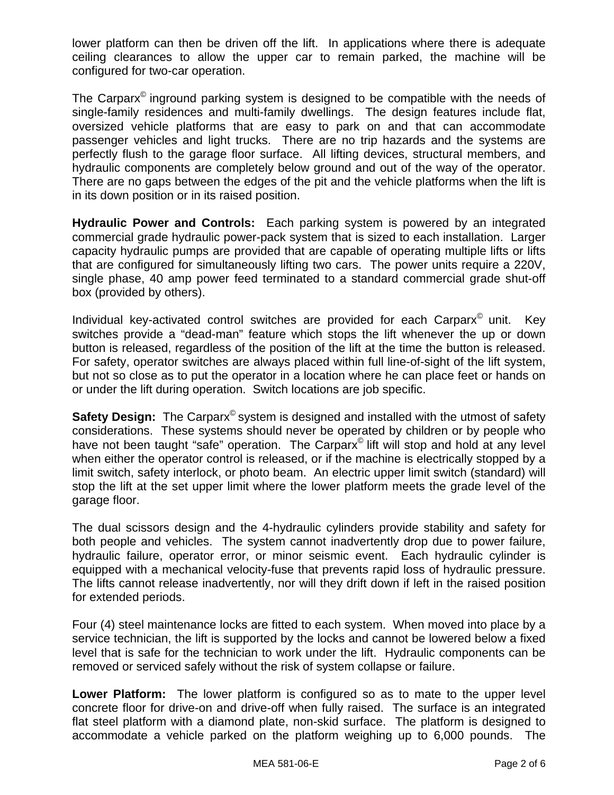lower platform can then be driven off the lift. In applications where there is adequate ceiling clearances to allow the upper car to remain parked, the machine will be configured for two-car operation.

The Carparx© inground parking system is designed to be compatible with the needs of single-family residences and multi-family dwellings. The design features include flat, oversized vehicle platforms that are easy to park on and that can accommodate passenger vehicles and light trucks. There are no trip hazards and the systems are perfectly flush to the garage floor surface. All lifting devices, structural members, and hydraulic components are completely below ground and out of the way of the operator. There are no gaps between the edges of the pit and the vehicle platforms when the lift is in its down position or in its raised position.

**Hydraulic Power and Controls:** Each parking system is powered by an integrated commercial grade hydraulic power-pack system that is sized to each installation. Larger capacity hydraulic pumps are provided that are capable of operating multiple lifts or lifts that are configured for simultaneously lifting two cars. The power units require a 220V, single phase, 40 amp power feed terminated to a standard commercial grade shut-off box (provided by others).

Individual key-activated control switches are provided for each Carparx<sup>®</sup> unit. Key switches provide a "dead-man" feature which stops the lift whenever the up or down button is released, regardless of the position of the lift at the time the button is released. For safety, operator switches are always placed within full line-of-sight of the lift system, but not so close as to put the operator in a location where he can place feet or hands on or under the lift during operation. Switch locations are job specific.

**Safety Design:** The Carparx<sup>®</sup> system is designed and installed with the utmost of safety considerations. These systems should never be operated by children or by people who have not been taught "safe" operation. The Carparx<sup>®</sup> lift will stop and hold at any level when either the operator control is released, or if the machine is electrically stopped by a limit switch, safety interlock, or photo beam. An electric upper limit switch (standard) will stop the lift at the set upper limit where the lower platform meets the grade level of the garage floor.

The dual scissors design and the 4-hydraulic cylinders provide stability and safety for both people and vehicles. The system cannot inadvertently drop due to power failure, hydraulic failure, operator error, or minor seismic event. Each hydraulic cylinder is equipped with a mechanical velocity-fuse that prevents rapid loss of hydraulic pressure. The lifts cannot release inadvertently, nor will they drift down if left in the raised position for extended periods.

Four (4) steel maintenance locks are fitted to each system. When moved into place by a service technician, the lift is supported by the locks and cannot be lowered below a fixed level that is safe for the technician to work under the lift. Hydraulic components can be removed or serviced safely without the risk of system collapse or failure.

**Lower Platform:** The lower platform is configured so as to mate to the upper level concrete floor for drive-on and drive-off when fully raised. The surface is an integrated flat steel platform with a diamond plate, non-skid surface. The platform is designed to accommodate a vehicle parked on the platform weighing up to 6,000 pounds. The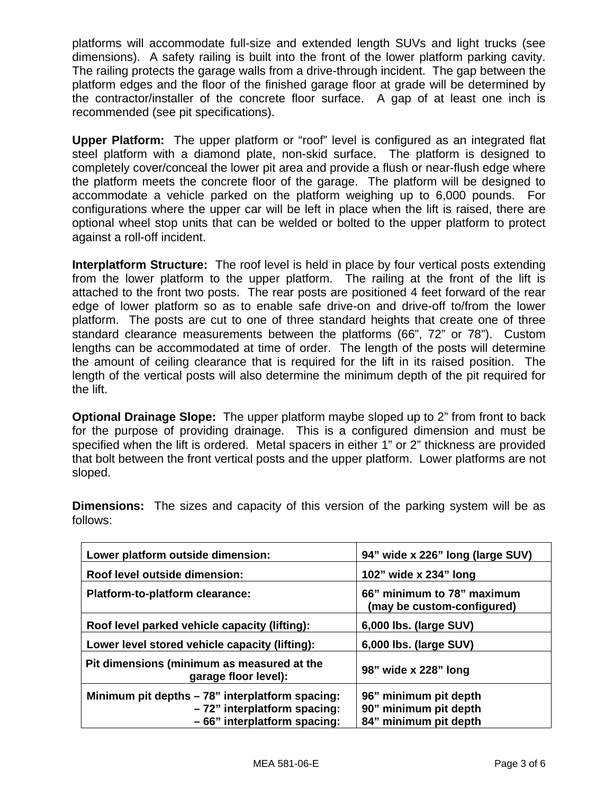platforms will accommodate full-size and extended length SUVs and light trucks (see dimensions). A safety railing is built into the front of the lower platform parking cavity. The railing protects the garage walls from a drive-through incident. The gap between the platform edges and the floor of the finished garage floor at grade will be determined by the contractor/installer of the concrete floor surface. A gap of at least one inch is recommended (see pit specifications).

**Upper Platform:** The upper platform or "roof" level is configured as an integrated flat steel platform with a diamond plate, non-skid surface. The platform is designed to completely cover/conceal the lower pit area and provide a flush or near-flush edge where the platform meets the concrete floor of the garage. The platform will be designed to accommodate a vehicle parked on the platform weighing up to 6,000 pounds. For configurations where the upper car will be left in place when the lift is raised, there are optional wheel stop units that can be welded or bolted to the upper platform to protect against a roll-off incident.

**Interplatform Structure:** The roof level is held in place by four vertical posts extending from the lower platform to the upper platform. The railing at the front of the lift is attached to the front two posts. The rear posts are positioned 4 feet forward of the rear edge of lower platform so as to enable safe drive-on and drive-off to/from the lower platform. The posts are cut to one of three standard heights that create one of three standard clearance measurements between the platforms (66", 72" or 78"). Custom lengths can be accommodated at time of order. The length of the posts will determine the amount of ceiling clearance that is required for the lift in its raised position. The length of the vertical posts will also determine the minimum depth of the pit required for the lift.

**Optional Drainage Slope:** The upper platform maybe sloped up to 2" from front to back for the purpose of providing drainage. This is a configured dimension and must be specified when the lift is ordered. Metal spacers in either 1" or 2" thickness are provided that bolt between the front vertical posts and the upper platform. Lower platforms are not sloped.

| Lower platform outside dimension:                                  | 94" wide x 226" long (large SUV)                         |
|--------------------------------------------------------------------|----------------------------------------------------------|
| Roof level outside dimension:                                      | 102" wide x 234" long                                    |
| Platform-to-platform clearance:                                    | 66" minimum to 78" maximum<br>(may be custom-configured) |
| Roof level parked vehicle capacity (lifting):                      | 6,000 lbs. (large SUV)                                   |
| Lower level stored vehicle capacity (lifting):                     | 6,000 lbs. (large SUV)                                   |
| Pit dimensions (minimum as measured at the<br>garage floor level): | 98" wide x 228" long                                     |
| Minimum pit depths - 78" interplatform spacing:                    | 96" minimum pit depth                                    |
| -72" interplatform spacing:                                        | 90" minimum pit depth                                    |
| - 66" interplatform spacing:                                       | 84" minimum pit depth                                    |

**Dimensions:** The sizes and capacity of this version of the parking system will be as follows: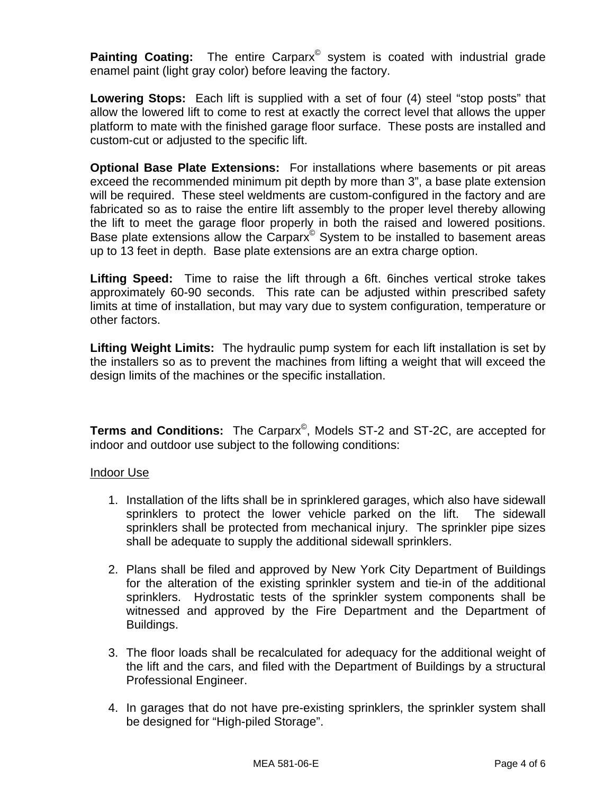**Painting Coating:** The entire Carparx<sup>®</sup> system is coated with industrial grade enamel paint (light gray color) before leaving the factory.

**Lowering Stops:** Each lift is supplied with a set of four (4) steel "stop posts" that allow the lowered lift to come to rest at exactly the correct level that allows the upper platform to mate with the finished garage floor surface. These posts are installed and custom-cut or adjusted to the specific lift.

**Optional Base Plate Extensions:** For installations where basements or pit areas exceed the recommended minimum pit depth by more than 3", a base plate extension will be required. These steel weldments are custom-configured in the factory and are fabricated so as to raise the entire lift assembly to the proper level thereby allowing the lift to meet the garage floor properly in both the raised and lowered positions. Base plate extensions allow the Carparx<sup>®</sup> System to be installed to basement areas up to 13 feet in depth. Base plate extensions are an extra charge option.

**Lifting Speed:** Time to raise the lift through a 6ft. 6inches vertical stroke takes approximately 60-90 seconds. This rate can be adjusted within prescribed safety limits at time of installation, but may vary due to system configuration, temperature or other factors.

**Lifting Weight Limits:** The hydraulic pump system for each lift installation is set by the installers so as to prevent the machines from lifting a weight that will exceed the design limits of the machines or the specific installation.

**Terms and Conditions:** The Carparx©, Models ST-2 and ST-2C, are accepted for indoor and outdoor use subject to the following conditions:

## Indoor Use

- 1. Installation of the lifts shall be in sprinklered garages, which also have sidewall sprinklers to protect the lower vehicle parked on the lift. The sidewall sprinklers shall be protected from mechanical injury. The sprinkler pipe sizes shall be adequate to supply the additional sidewall sprinklers.
- 2. Plans shall be filed and approved by New York City Department of Buildings for the alteration of the existing sprinkler system and tie-in of the additional sprinklers. Hydrostatic tests of the sprinkler system components shall be witnessed and approved by the Fire Department and the Department of Buildings.
- 3. The floor loads shall be recalculated for adequacy for the additional weight of the lift and the cars, and filed with the Department of Buildings by a structural Professional Engineer.
- 4. In garages that do not have pre-existing sprinklers, the sprinkler system shall be designed for "High-piled Storage".